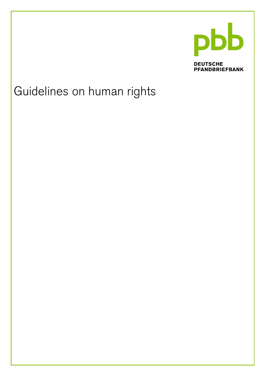

**DEUTSCHE PFANDBRIEFBANK** 

# Guidelines on human rights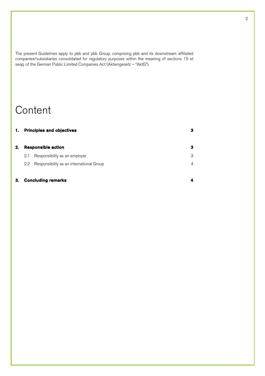The present Guidelines apply to pbb and pbb Group, comprising pbb and its downstream affiliated companies/subsidiaries consolidated for regulatory purposes within the meaning of sections 15 et seqq. of the German Public Limited Companies Act (Aktiengesetz – "AktG").

### **Content**

| 1. |                           | <b>Principles and objectives</b>         | з |
|----|---------------------------|------------------------------------------|---|
| 2. | <b>Responsible action</b> |                                          | 3 |
|    | 2.1                       | Responsibility as an employer            | 3 |
|    | 2.2                       | Responsibility as an international Group | 4 |
| З. |                           | <b>Concluding remarks</b>                |   |

#### 2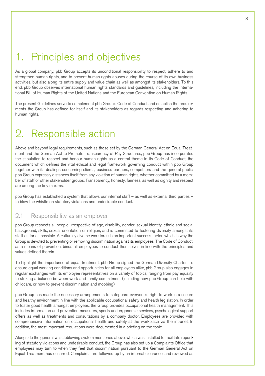### 1. Principles and objectives

As a global company, pbb Group accepts its unconditional responsibility to respect, adhere to and strengthen human rights, and to prevent human rights abuses during the course of its own business activities, but also along its entire supply and value chain as well as amongst its stakeholders. To this end, pbb Group observes international human rights standards and guidelines, including the International Bill of Human Rights of the United Nations and the European Convention on Human Rights.

The present Guidelines serve to complement pbb Group's Code of Conduct and establish the requirements the Group has defined for itself and its stakeholders as regards respecting and adhering to human rights.

# 2. Responsible action

Above and beyond legal requirements, such as those set by the German General Act on Equal Treatment and the German Act to Promote Transparency of Pay Structures, pbb Group has incorporated the stipulation to respect and honour human rights as a central theme in its Code of Conduct, the document which defines the vital ethical and legal framework governing conduct within pbb Group together with its dealings concerning clients, business partners, competitors and the general public. pbb Group expressly distances itself from any violation of human rights, whether committed by a member of staff or other stakeholder groups. Transparency, honesty, fairness, as well as dignity and respect are among the key maxims.

pbb Group has established a system that allows our internal staff – as well as external third parties – to blow the whistle on statutory violations and undesirable conduct.

#### 2.1 Responsibility as an employer

pbb Group respects all people, irrespective of age, disability, gender, sexual identity, ethnic and social background, skills, sexual orientation or religion, and is committed to fostering diversity amongst its staff as far as possible. A culturally diverse workforce is an important success factor, which is why the Group is devoted to preventing or removing discrimination against its employees. The Code of Conduct, as a means of prevention, binds all employees to conduct themselves in line with the principles and values defined therein.

To highlight the importance of equal treatment, pbb Group signed the German Diversity Charter. To ensure equal working conditions and opportunities for all employees alike, pbb Group also engages in regular exchanges with its employee representatives on a variety of topics, ranging from pay equality to striking a balance between work and family commitment (including how pbb Group can help with childcare, or how to prevent discrimination and mobbing).

pbb Group has made the necessary arrangements to safeguard everyone's right to work in a secure and healthy environment in line with the applicable occupational safety and health legislation. In order to foster good health amongst employees, the Group provides occupational health management. This includes information and prevention measures, sports and ergonomic services, psychological support offers as well as treatments and consultations by a company doctor. Employees are provided with comprehensive information on occupational health and safety at the workplace via the intranet. In addition, the most important regulations were documented in a briefing on the topic.

Alongside the general whistleblowing system mentioned above, which was installed to facilitate reporting of statutory violations and undesirable conduct, the Group has also set up a Complaints Office that employees may turn to when they feel that discrimination pursuant to the German General Act on Equal Treatment has occurred. Complaints are followed up by an internal clearance, and reviewed as